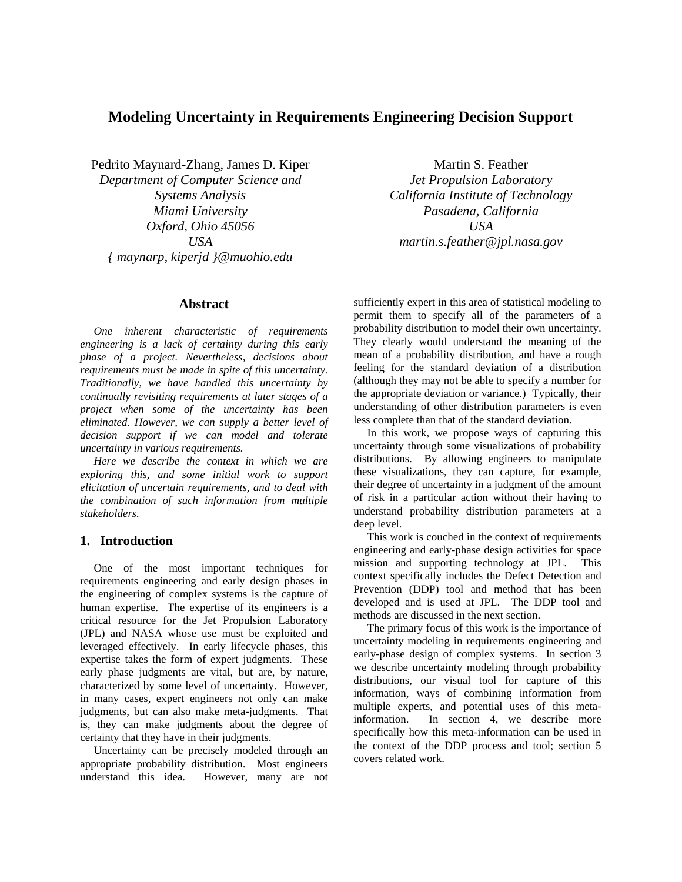# **Modeling Uncertainty in Requirements Engineering Decision Support**

Pedrito Maynard-Zhang, James D. Kiper

*Department of Computer Science and Systems Analysis Miami University Oxford, Ohio 45056 USA { maynarp, kiperjd }@muohio.edu* 

### **Abstract**

*One inherent characteristic of requirements engineering is a lack of certainty during this early phase of a project. Nevertheless, decisions about requirements must be made in spite of this uncertainty. Traditionally, we have handled this uncertainty by continually revisiting requirements at later stages of a project when some of the uncertainty has been eliminated. However, we can supply a better level of decision support if we can model and tolerate uncertainty in various requirements.* 

*Here we describe the context in which we are exploring this, and some initial work to support elicitation of uncertain requirements, and to deal with the combination of such information from multiple stakeholders.* 

## **1. Introduction**

One of the most important techniques for requirements engineering and early design phases in the engineering of complex systems is the capture of human expertise. The expertise of its engineers is a critical resource for the Jet Propulsion Laboratory (JPL) and NASA whose use must be exploited and leveraged effectively. In early lifecycle phases, this expertise takes the form of expert judgments. These early phase judgments are vital, but are, by nature, characterized by some level of uncertainty. However, in many cases, expert engineers not only can make judgments, but can also make meta-judgments. That is, they can make judgments about the degree of certainty that they have in their judgments.

Uncertainty can be precisely modeled through an appropriate probability distribution. Most engineers understand this idea. However, many are not

Martin S. Feather *Jet Propulsion Laboratory California Institute of Technology Pasadena, California USA martin.s.feather@jpl.nasa.gov* 

sufficiently expert in this area of statistical modeling to permit them to specify all of the parameters of a probability distribution to model their own uncertainty. They clearly would understand the meaning of the mean of a probability distribution, and have a rough feeling for the standard deviation of a distribution (although they may not be able to specify a number for the appropriate deviation or variance.) Typically, their understanding of other distribution parameters is even less complete than that of the standard deviation.

In this work, we propose ways of capturing this uncertainty through some visualizations of probability distributions. By allowing engineers to manipulate these visualizations, they can capture, for example, their degree of uncertainty in a judgment of the amount of risk in a particular action without their having to understand probability distribution parameters at a deep level.

This work is couched in the context of requirements engineering and early-phase design activities for space mission and supporting technology at JPL. This context specifically includes the Defect Detection and Prevention (DDP) tool and method that has been developed and is used at JPL. The DDP tool and methods are discussed in the next section.

The primary focus of this work is the importance of uncertainty modeling in requirements engineering and early-phase design of complex systems. In section 3 we describe uncertainty modeling through probability distributions, our visual tool for capture of this information, ways of combining information from multiple experts, and potential uses of this metainformation. In section 4, we describe more specifically how this meta-information can be used in the context of the DDP process and tool; section 5 covers related work.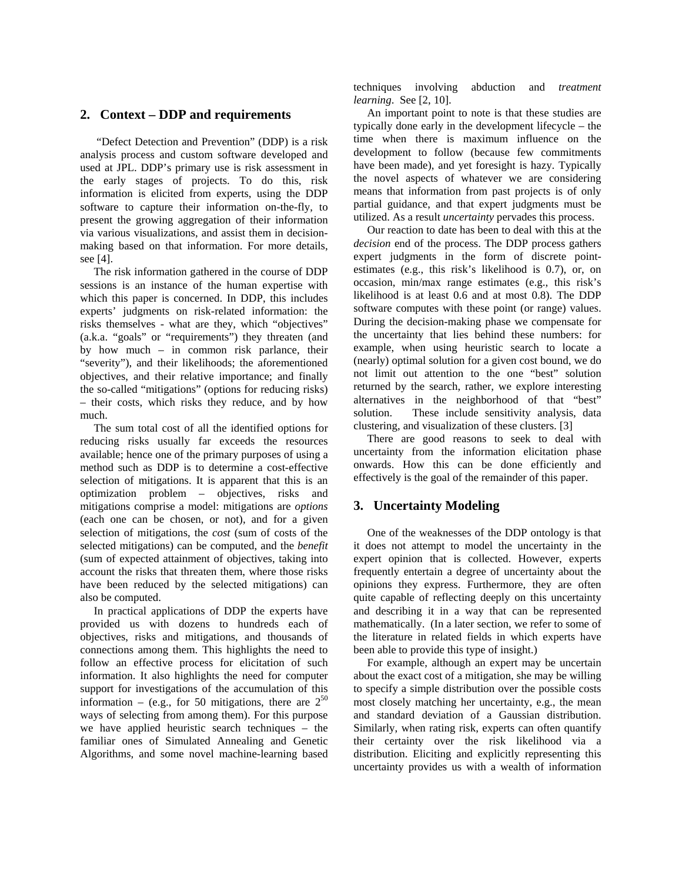## **2. Context – DDP and requirements**

 "Defect Detection and Prevention" (DDP) is a risk analysis process and custom software developed and used at JPL. DDP's primary use is risk assessment in the early stages of projects. To do this, risk information is elicited from experts, using the DDP software to capture their information on-the-fly, to present the growing aggregation of their information via various visualizations, and assist them in decisionmaking based on that information. For more details, see [4].

The risk information gathered in the course of DDP sessions is an instance of the human expertise with which this paper is concerned. In DDP, this includes experts' judgments on risk-related information: the risks themselves - what are they, which "objectives" (a.k.a. "goals" or "requirements") they threaten (and by how much – in common risk parlance, their "severity"), and their likelihoods; the aforementioned objectives, and their relative importance; and finally the so-called "mitigations" (options for reducing risks) – their costs, which risks they reduce, and by how much.

The sum total cost of all the identified options for reducing risks usually far exceeds the resources available; hence one of the primary purposes of using a method such as DDP is to determine a cost-effective selection of mitigations. It is apparent that this is an optimization problem – objectives, risks and mitigations comprise a model: mitigations are *options* (each one can be chosen, or not), and for a given selection of mitigations, the *cost* (sum of costs of the selected mitigations) can be computed, and the *benefit* (sum of expected attainment of objectives, taking into account the risks that threaten them, where those risks have been reduced by the selected mitigations) can also be computed.

In practical applications of DDP the experts have provided us with dozens to hundreds each of objectives, risks and mitigations, and thousands of connections among them. This highlights the need to follow an effective process for elicitation of such information. It also highlights the need for computer support for investigations of the accumulation of this information – (e.g., for 50 mitigations, there are  $2^{50}$ ways of selecting from among them). For this purpose we have applied heuristic search techniques – the familiar ones of Simulated Annealing and Genetic Algorithms, and some novel machine-learning based techniques involving abduction and *treatment learning*. See [2, 10].

An important point to note is that these studies are typically done early in the development lifecycle – the time when there is maximum influence on the development to follow (because few commitments have been made), and yet foresight is hazy. Typically the novel aspects of whatever we are considering means that information from past projects is of only partial guidance, and that expert judgments must be utilized. As a result *uncertainty* pervades this process.

Our reaction to date has been to deal with this at the *decision* end of the process. The DDP process gathers expert judgments in the form of discrete pointestimates (e.g., this risk's likelihood is 0.7), or, on occasion, min/max range estimates (e.g., this risk's likelihood is at least 0.6 and at most 0.8). The DDP software computes with these point (or range) values. During the decision-making phase we compensate for the uncertainty that lies behind these numbers: for example, when using heuristic search to locate a (nearly) optimal solution for a given cost bound, we do not limit out attention to the one "best" solution returned by the search, rather, we explore interesting alternatives in the neighborhood of that "best" solution. These include sensitivity analysis, data clustering, and visualization of these clusters. [3]

There are good reasons to seek to deal with uncertainty from the information elicitation phase onwards. How this can be done efficiently and effectively is the goal of the remainder of this paper.

### **3. Uncertainty Modeling**

One of the weaknesses of the DDP ontology is that it does not attempt to model the uncertainty in the expert opinion that is collected. However, experts frequently entertain a degree of uncertainty about the opinions they express. Furthermore, they are often quite capable of reflecting deeply on this uncertainty and describing it in a way that can be represented mathematically. (In a later section, we refer to some of the literature in related fields in which experts have been able to provide this type of insight.)

For example, although an expert may be uncertain about the exact cost of a mitigation, she may be willing to specify a simple distribution over the possible costs most closely matching her uncertainty, e.g., the mean and standard deviation of a Gaussian distribution. Similarly, when rating risk, experts can often quantify their certainty over the risk likelihood via a distribution. Eliciting and explicitly representing this uncertainty provides us with a wealth of information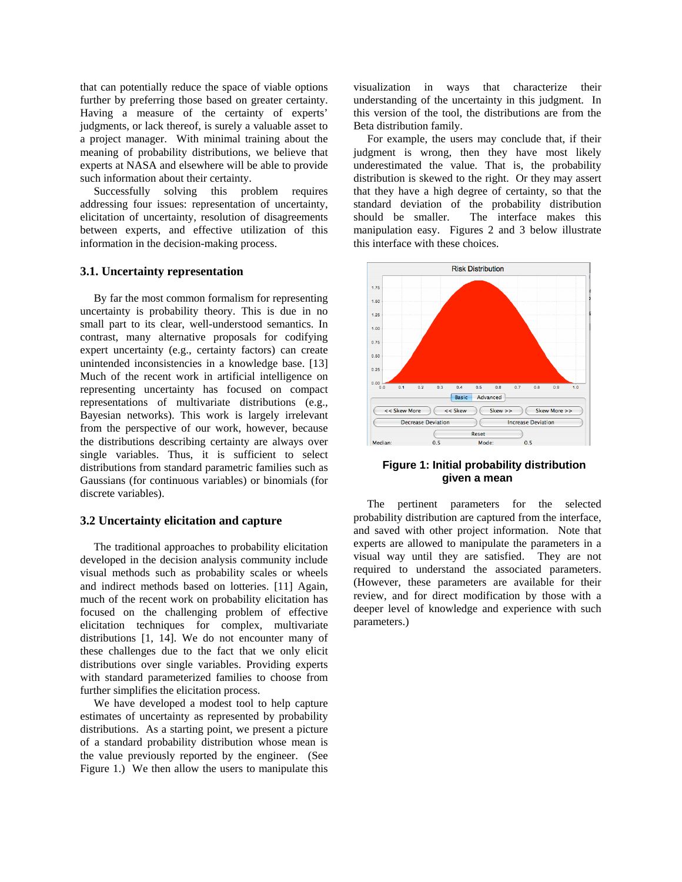that can potentially reduce the space of viable options further by preferring those based on greater certainty. Having a measure of the certainty of experts' judgments, or lack thereof, is surely a valuable asset to a project manager. With minimal training about the meaning of probability distributions, we believe that experts at NASA and elsewhere will be able to provide such information about their certainty.

Successfully solving this problem requires addressing four issues: representation of uncertainty, elicitation of uncertainty, resolution of disagreements between experts, and effective utilization of this information in the decision-making process.

#### **3.1. Uncertainty representation**

By far the most common formalism for representing uncertainty is probability theory. This is due in no small part to its clear, well-understood semantics. In contrast, many alternative proposals for codifying expert uncertainty (e.g., certainty factors) can create unintended inconsistencies in a knowledge base. [13] Much of the recent work in artificial intelligence on representing uncertainty has focused on compact representations of multivariate distributions (e.g., Bayesian networks). This work is largely irrelevant from the perspective of our work, however, because the distributions describing certainty are always over single variables. Thus, it is sufficient to select distributions from standard parametric families such as Gaussians (for continuous variables) or binomials (for discrete variables).

#### **3.2 Uncertainty elicitation and capture**

The traditional approaches to probability elicitation developed in the decision analysis community include visual methods such as probability scales or wheels and indirect methods based on lotteries. [11] Again, much of the recent work on probability elicitation has focused on the challenging problem of effective elicitation techniques for complex, multivariate distributions [1, 14]. We do not encounter many of these challenges due to the fact that we only elicit distributions over single variables. Providing experts with standard parameterized families to choose from further simplifies the elicitation process.

We have developed a modest tool to help capture estimates of uncertainty as represented by probability distributions. As a starting point, we present a picture of a standard probability distribution whose mean is the value previously reported by the engineer. (See Figure 1.) We then allow the users to manipulate this visualization in ways that characterize their understanding of the uncertainty in this judgment. In this version of the tool, the distributions are from the Beta distribution family.

For example, the users may conclude that, if their judgment is wrong, then they have most likely underestimated the value. That is, the probability distribution is skewed to the right. Or they may assert that they have a high degree of certainty, so that the standard deviation of the probability distribution should be smaller. The interface makes this manipulation easy. Figures 2 and 3 below illustrate this interface with these choices.



### **Figure 1: Initial probability distribution given a mean**

The pertinent parameters for the selected probability distribution are captured from the interface, and saved with other project information. Note that experts are allowed to manipulate the parameters in a visual way until they are satisfied. They are not required to understand the associated parameters. (However, these parameters are available for their review, and for direct modification by those with a deeper level of knowledge and experience with such parameters.)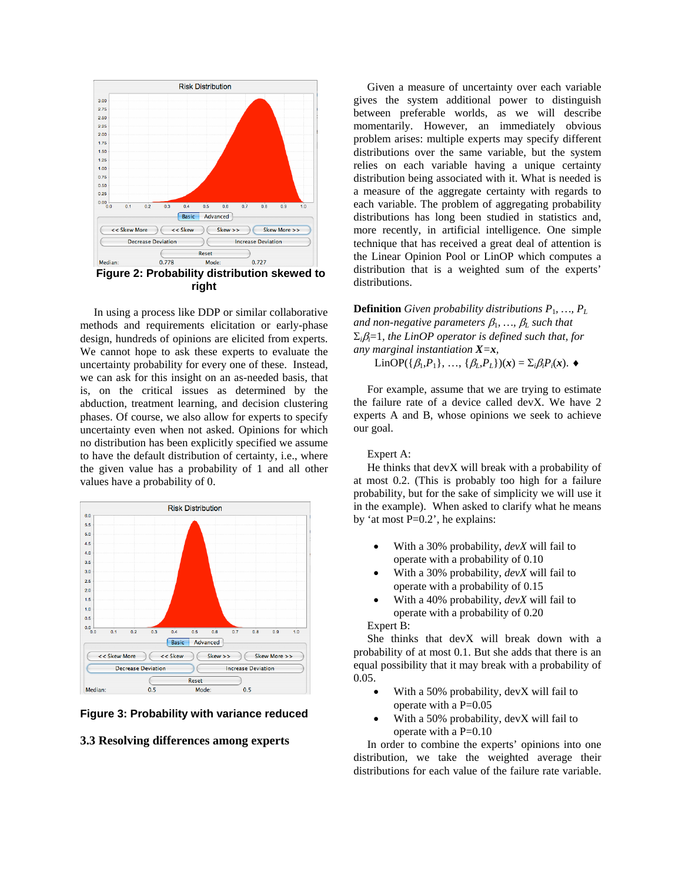

In using a process like DDP or similar collaborative methods and requirements elicitation or early-phase design, hundreds of opinions are elicited from experts. We cannot hope to ask these experts to evaluate the uncertainty probability for every one of these. Instead, we can ask for this insight on an as-needed basis, that is, on the critical issues as determined by the abduction, treatment learning, and decision clustering phases. Of course, we also allow for experts to specify uncertainty even when not asked. Opinions for which no distribution has been explicitly specified we assume to have the default distribution of certainty, i.e., where the given value has a probability of 1 and all other values have a probability of 0.



**Figure 3: Probability with variance reduced** 

### **3.3 Resolving differences among experts**

Given a measure of uncertainty over each variable gives the system additional power to distinguish between preferable worlds, as we will describe momentarily. However, an immediately obvious problem arises: multiple experts may specify different distributions over the same variable, but the system relies on each variable having a unique certainty distribution being associated with it. What is needed is a measure of the aggregate certainty with regards to each variable. The problem of aggregating probability distributions has long been studied in statistics and, more recently, in artificial intelligence. One simple technique that has received a great deal of attention is the Linear Opinion Pool or LinOP which computes a distribution that is a weighted sum of the experts' distributions.

**Definition** *Given probability distributions P*1*, …, PL and non-negative parameters*  $\beta_1$ , ...,  $\beta_L$  such that Σ*i*β*i*=1*, the LinOP operator is defined such that, for any marginal instantiation X=x,* 

LinOP({β1,*P*1}, …, {β*L*,*PL*})(*x*) = Σ*i*β*iPi*(*x*). ♦

For example, assume that we are trying to estimate the failure rate of a device called devX. We have 2 experts A and B, whose opinions we seek to achieve our goal.

#### Expert A:

He thinks that devX will break with a probability of at most 0.2. (This is probably too high for a failure probability, but for the sake of simplicity we will use it in the example). When asked to clarify what he means by 'at most P=0.2', he explains:

- With a 30% probability, *devX* will fail to operate with a probability of 0.10
- With a 30% probability, *devX* will fail to operate with a probability of 0.15
- With a 40% probability, *devX* will fail to operate with a probability of 0.20

Expert B:

She thinks that devX will break down with a probability of at most 0.1. But she adds that there is an equal possibility that it may break with a probability of 0.05.

- With a 50% probability, devX will fail to operate with a P=0.05
- With a 50% probability, devX will fail to operate with a P=0.10

In order to combine the experts' opinions into one distribution, we take the weighted average their distributions for each value of the failure rate variable.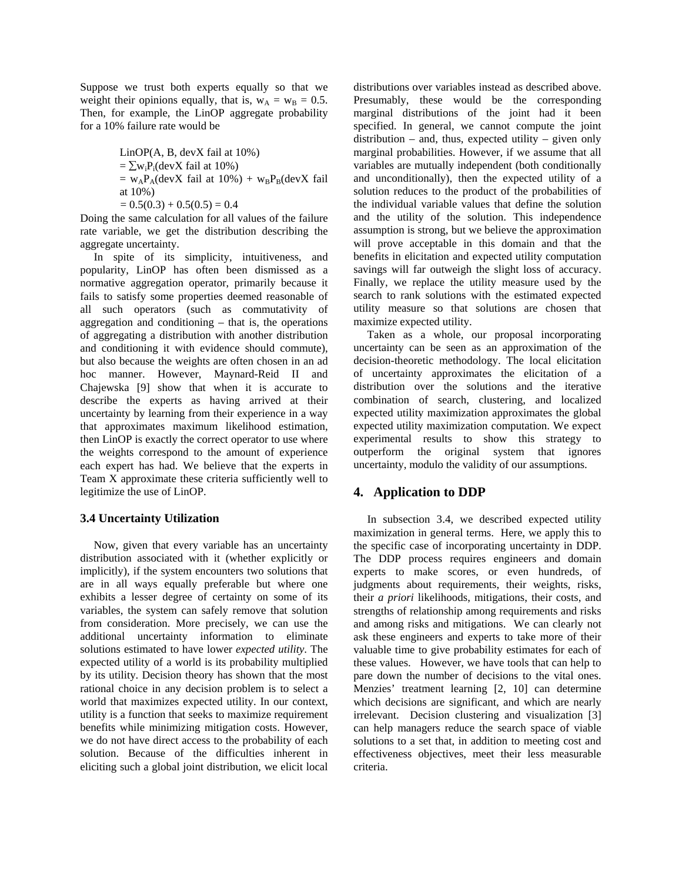Suppose we trust both experts equally so that we weight their opinions equally, that is,  $w_A = w_B = 0.5$ . Then, for example, the LinOP aggregate probability for a 10% failure rate would be

> LinOP(A, B, devX fail at 10%)  $=\sum w_i P_i$ (devX fail at 10%)  $= w_A P_A$ (devX fail at 10%) +  $w_B P_B$ (devX fail at 10%)

 $= 0.5(0.3) + 0.5(0.5) = 0.4$ 

Doing the same calculation for all values of the failure rate variable, we get the distribution describing the aggregate uncertainty.

In spite of its simplicity, intuitiveness, and popularity, LinOP has often been dismissed as a normative aggregation operator, primarily because it fails to satisfy some properties deemed reasonable of all such operators (such as commutativity of aggregation and conditioning – that is, the operations of aggregating a distribution with another distribution and conditioning it with evidence should commute), but also because the weights are often chosen in an ad hoc manner. However, Maynard-Reid II and Chajewska [9] show that when it is accurate to describe the experts as having arrived at their uncertainty by learning from their experience in a way that approximates maximum likelihood estimation, then LinOP is exactly the correct operator to use where the weights correspond to the amount of experience each expert has had. We believe that the experts in Team X approximate these criteria sufficiently well to legitimize the use of LinOP.

#### **3.4 Uncertainty Utilization**

Now, given that every variable has an uncertainty distribution associated with it (whether explicitly or implicitly), if the system encounters two solutions that are in all ways equally preferable but where one exhibits a lesser degree of certainty on some of its variables, the system can safely remove that solution from consideration. More precisely, we can use the additional uncertainty information to eliminate solutions estimated to have lower *expected utility*. The expected utility of a world is its probability multiplied by its utility. Decision theory has shown that the most rational choice in any decision problem is to select a world that maximizes expected utility. In our context, utility is a function that seeks to maximize requirement benefits while minimizing mitigation costs. However, we do not have direct access to the probability of each solution. Because of the difficulties inherent in eliciting such a global joint distribution, we elicit local

distributions over variables instead as described above. Presumably, these would be the corresponding marginal distributions of the joint had it been specified. In general, we cannot compute the joint distribution – and, thus, expected utility – given only marginal probabilities. However, if we assume that all variables are mutually independent (both conditionally and unconditionally), then the expected utility of a solution reduces to the product of the probabilities of the individual variable values that define the solution and the utility of the solution. This independence assumption is strong, but we believe the approximation will prove acceptable in this domain and that the benefits in elicitation and expected utility computation savings will far outweigh the slight loss of accuracy. Finally, we replace the utility measure used by the search to rank solutions with the estimated expected utility measure so that solutions are chosen that maximize expected utility.

Taken as a whole, our proposal incorporating uncertainty can be seen as an approximation of the decision-theoretic methodology. The local elicitation of uncertainty approximates the elicitation of a distribution over the solutions and the iterative combination of search, clustering, and localized expected utility maximization approximates the global expected utility maximization computation. We expect experimental results to show this strategy to outperform the original system that ignores uncertainty, modulo the validity of our assumptions.

### **4. Application to DDP**

In subsection 3.4, we described expected utility maximization in general terms. Here, we apply this to the specific case of incorporating uncertainty in DDP. The DDP process requires engineers and domain experts to make scores, or even hundreds, of judgments about requirements, their weights, risks, their *a priori* likelihoods, mitigations, their costs, and strengths of relationship among requirements and risks and among risks and mitigations. We can clearly not ask these engineers and experts to take more of their valuable time to give probability estimates for each of these values. However, we have tools that can help to pare down the number of decisions to the vital ones. Menzies' treatment learning [2, 10] can determine which decisions are significant, and which are nearly irrelevant. Decision clustering and visualization [3] can help managers reduce the search space of viable solutions to a set that, in addition to meeting cost and effectiveness objectives, meet their less measurable criteria.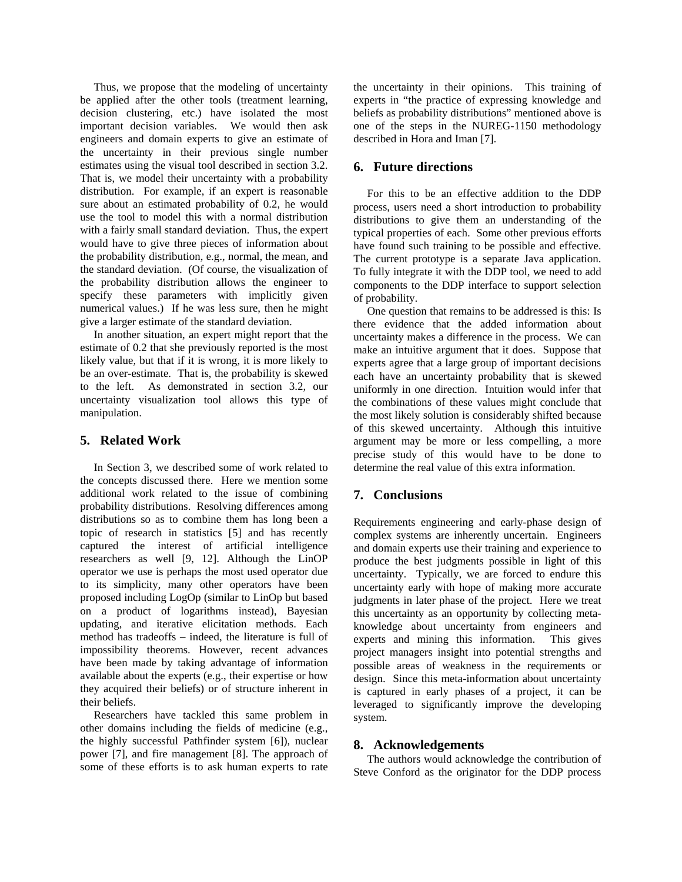Thus, we propose that the modeling of uncertainty be applied after the other tools (treatment learning, decision clustering, etc.) have isolated the most important decision variables. We would then ask engineers and domain experts to give an estimate of the uncertainty in their previous single number estimates using the visual tool described in section 3.2. That is, we model their uncertainty with a probability distribution. For example, if an expert is reasonable sure about an estimated probability of 0.2, he would use the tool to model this with a normal distribution with a fairly small standard deviation. Thus, the expert would have to give three pieces of information about the probability distribution, e.g., normal, the mean, and the standard deviation. (Of course, the visualization of the probability distribution allows the engineer to specify these parameters with implicitly given numerical values.) If he was less sure, then he might give a larger estimate of the standard deviation.

In another situation, an expert might report that the estimate of 0.2 that she previously reported is the most likely value, but that if it is wrong, it is more likely to be an over-estimate. That is, the probability is skewed to the left. As demonstrated in section 3.2, our uncertainty visualization tool allows this type of manipulation.

### **5. Related Work**

In Section 3, we described some of work related to the concepts discussed there. Here we mention some additional work related to the issue of combining probability distributions. Resolving differences among distributions so as to combine them has long been a topic of research in statistics [5] and has recently captured the interest of artificial intelligence researchers as well [9, 12]. Although the LinOP operator we use is perhaps the most used operator due to its simplicity, many other operators have been proposed including LogOp (similar to LinOp but based on a product of logarithms instead), Bayesian updating, and iterative elicitation methods. Each method has tradeoffs – indeed, the literature is full of impossibility theorems. However, recent advances have been made by taking advantage of information available about the experts (e.g., their expertise or how they acquired their beliefs) or of structure inherent in their beliefs.

Researchers have tackled this same problem in other domains including the fields of medicine (e.g., the highly successful Pathfinder system [6]), nuclear power [7], and fire management [8]. The approach of some of these efforts is to ask human experts to rate

the uncertainty in their opinions. This training of experts in "the practice of expressing knowledge and beliefs as probability distributions" mentioned above is one of the steps in the NUREG-1150 methodology described in Hora and Iman [7].

### **6. Future directions**

For this to be an effective addition to the DDP process, users need a short introduction to probability distributions to give them an understanding of the typical properties of each. Some other previous efforts have found such training to be possible and effective. The current prototype is a separate Java application. To fully integrate it with the DDP tool, we need to add components to the DDP interface to support selection of probability.

One question that remains to be addressed is this: Is there evidence that the added information about uncertainty makes a difference in the process. We can make an intuitive argument that it does. Suppose that experts agree that a large group of important decisions each have an uncertainty probability that is skewed uniformly in one direction. Intuition would infer that the combinations of these values might conclude that the most likely solution is considerably shifted because of this skewed uncertainty. Although this intuitive argument may be more or less compelling, a more precise study of this would have to be done to determine the real value of this extra information.

# **7. Conclusions**

Requirements engineering and early-phase design of complex systems are inherently uncertain. Engineers and domain experts use their training and experience to produce the best judgments possible in light of this uncertainty. Typically, we are forced to endure this uncertainty early with hope of making more accurate judgments in later phase of the project. Here we treat this uncertainty as an opportunity by collecting metaknowledge about uncertainty from engineers and experts and mining this information. This gives project managers insight into potential strengths and possible areas of weakness in the requirements or design. Since this meta-information about uncertainty is captured in early phases of a project, it can be leveraged to significantly improve the developing system.

### **8. Acknowledgements**

The authors would acknowledge the contribution of Steve Conford as the originator for the DDP process